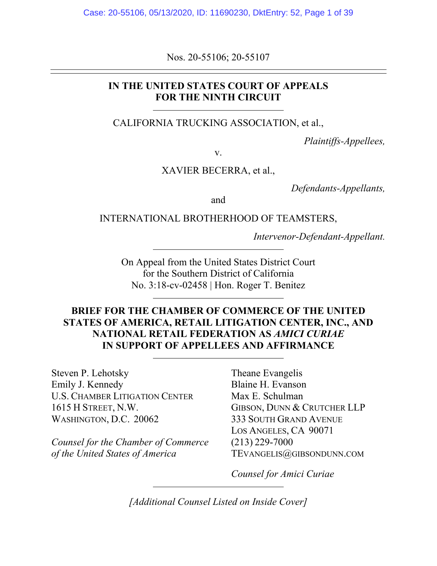Nos. 20-55106; 20-55107

## **IN THE UNITED STATES COURT OF APPEALS FOR THE NINTH CIRCUIT**

CALIFORNIA TRUCKING ASSOCIATION, et al.,

*Plaintiffs-Appellees,* 

v.

XAVIER BECERRA, et al.,

*Defendants-Appellants,* 

and

INTERNATIONAL BROTHERHOOD OF TEAMSTERS,

*Intervenor-Defendant-Appellant.* 

On Appeal from the United States District Court for the Southern District of California No. 3:18-cv-02458 | Hon. Roger T. Benitez

## **BRIEF FOR THE CHAMBER OF COMMERCE OF THE UNITED STATES OF AMERICA, RETAIL LITIGATION CENTER, INC., AND NATIONAL RETAIL FEDERATION AS** *AMICI CURIAE* **IN SUPPORT OF APPELLEES AND AFFIRMANCE**

Steven P. Lehotsky Theane Evangelis Emily J. Kennedy Blaine H. Evanson U.S. CHAMBER LITIGATION CENTER Max E. Schulman 1615 H STREET, N.W. GIBSON, DUNN & CRUTCHER LLP WASHINGTON, D.C. 20062 333 SOUTH GRAND AVENUE

*Counsel for the Chamber of Commerce* (213) 229-7000 *of the United States of America* TEVANGELIS@GIBSONDUNN.COM

LOS ANGELES, CA 90071

*Counsel for Amici Curiae* 

*[Additional Counsel Listed on Inside Cover]*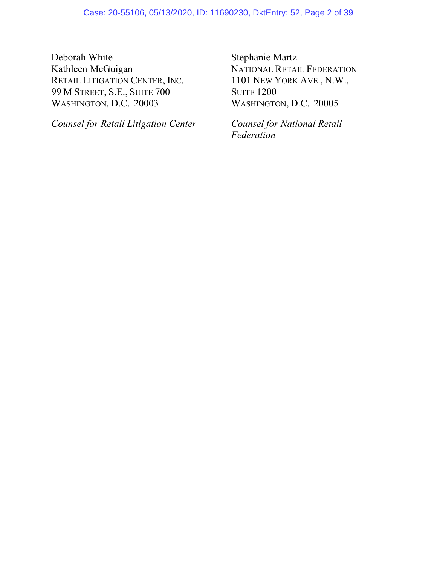Deborah White Stephanie Martz Kathleen McGuigan NATIONAL RETAIL FEDERATION<br>
RETAIL LITIGATION CENTER, INC. 1101 NEW YORK AVE., N.W., RETAIL LITIGATION CENTER, INC. 99 M STREET, S.E., SUITE 700 SUITE 1200 WASHINGTON, D.C. 20003 WASHINGTON, D.C. 20005

*Counsel for Retail Litigation Center Counsel for National Retail* 

 *Federation*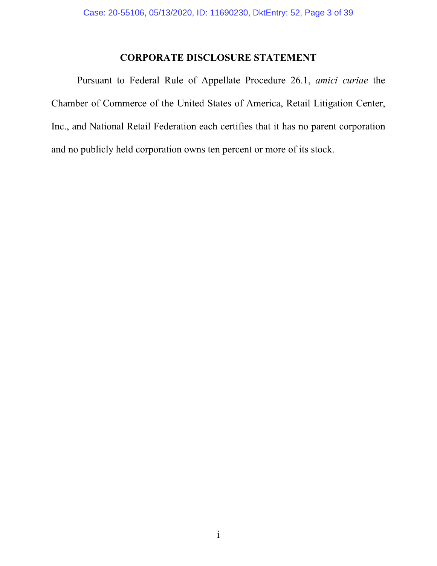## **CORPORATE DISCLOSURE STATEMENT**

Pursuant to Federal Rule of Appellate Procedure 26.1, *amici curiae* the Chamber of Commerce of the United States of America, Retail Litigation Center, Inc., and National Retail Federation each certifies that it has no parent corporation and no publicly held corporation owns ten percent or more of its stock.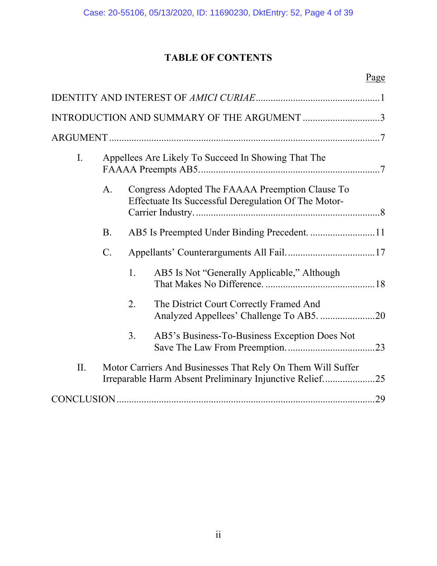# **TABLE OF CONTENTS**

| INTRODUCTION AND SUMMARY OF THE ARGUMENT 3 |           |                                                                                                                        |                                                                                                         |  |  |  |
|--------------------------------------------|-----------|------------------------------------------------------------------------------------------------------------------------|---------------------------------------------------------------------------------------------------------|--|--|--|
|                                            |           |                                                                                                                        |                                                                                                         |  |  |  |
| $\mathbf{I}$ .                             |           | Appellees Are Likely To Succeed In Showing That The                                                                    |                                                                                                         |  |  |  |
|                                            | A.        |                                                                                                                        | Congress Adopted The FAAAA Preemption Clause To<br>Effectuate Its Successful Deregulation Of The Motor- |  |  |  |
|                                            | <b>B.</b> |                                                                                                                        |                                                                                                         |  |  |  |
|                                            | C.        |                                                                                                                        |                                                                                                         |  |  |  |
|                                            |           | 1.                                                                                                                     | AB5 Is Not "Generally Applicable," Although                                                             |  |  |  |
|                                            |           | 2.                                                                                                                     | The District Court Correctly Framed And<br>Analyzed Appellees' Challenge To AB5. 20                     |  |  |  |
|                                            |           | 3.                                                                                                                     | AB5's Business-To-Business Exception Does Not                                                           |  |  |  |
| II.                                        |           | Motor Carriers And Businesses That Rely On Them Will Suffer<br>Irreparable Harm Absent Preliminary Injunctive Relief25 |                                                                                                         |  |  |  |
|                                            |           |                                                                                                                        |                                                                                                         |  |  |  |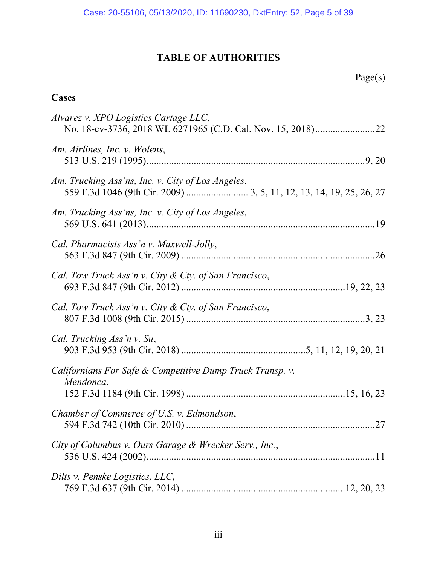# **TABLE OF AUTHORITIES**

# **Cases**

| Alvarez v. XPO Logistics Cartage LLC,                                  |
|------------------------------------------------------------------------|
| Am. Airlines, Inc. v. Wolens,                                          |
| Am. Trucking Ass'ns, Inc. v. City of Los Angeles,                      |
| Am. Trucking Ass'ns, Inc. v. City of Los Angeles,                      |
| Cal. Pharmacists Ass'n v. Maxwell-Jolly,                               |
| Cal. Tow Truck Ass'n v. City & Cty. of San Francisco,                  |
| Cal. Tow Truck Ass'n v. City & Cty. of San Francisco,                  |
| Cal. Trucking Ass'n v. Su,                                             |
| Californians For Safe & Competitive Dump Truck Transp. v.<br>Mendonca, |
| Chamber of Commerce of U.S. v. Edmondson,                              |
| City of Columbus v. Ours Garage & Wrecker Serv., Inc.,                 |
| Dilts v. Penske Logistics, LLC,                                        |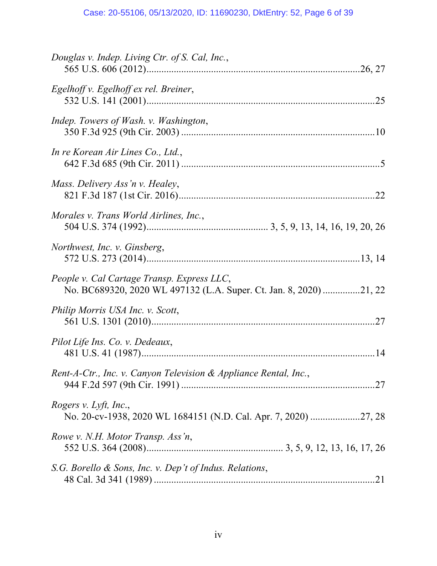| Douglas v. Indep. Living Ctr. of S. Cal, Inc.,                                                                   |
|------------------------------------------------------------------------------------------------------------------|
| Egelhoff v. Egelhoff ex rel. Breiner,                                                                            |
| Indep. Towers of Wash. v. Washington,                                                                            |
| In re Korean Air Lines Co., Ltd.,                                                                                |
| Mass. Delivery Ass'n v. Healey,                                                                                  |
| Morales v. Trans World Airlines, Inc.,                                                                           |
| Northwest, Inc. v. Ginsberg,                                                                                     |
| People v. Cal Cartage Transp. Express LLC,<br>No. BC689320, 2020 WL 497132 (L.A. Super. Ct. Jan. 8, 2020) 21, 22 |
| Philip Morris USA Inc. v. Scott,                                                                                 |
| Pilot Life Ins. Co. v. Dedeaux,                                                                                  |
| Rent-A-Ctr., Inc. v. Canyon Television & Appliance Rental, Inc.,                                                 |
| Rogers v. Lyft, Inc.,<br>No. 20-cv-1938, 2020 WL 1684151 (N.D. Cal. Apr. 7, 2020) 27, 28                         |
| Rowe v. N.H. Motor Transp. Ass'n,                                                                                |
| S.G. Borello & Sons, Inc. v. Dep't of Indus. Relations,                                                          |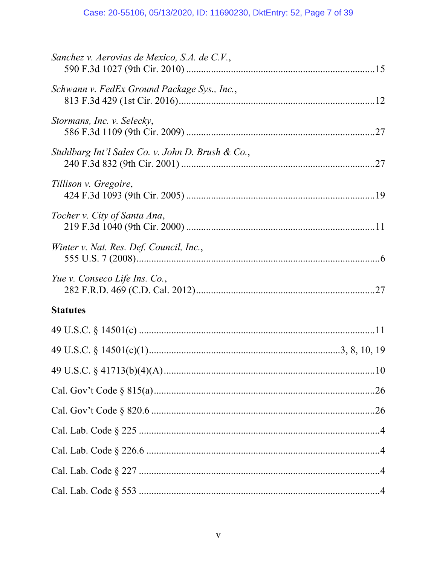| Sanchez v. Aerovias de Mexico, S.A. de C.V.,      |  |
|---------------------------------------------------|--|
| Schwann v. FedEx Ground Package Sys., Inc.,       |  |
| Stormans, Inc. v. Selecky,                        |  |
| Stuhlbarg Int'l Sales Co. v. John D. Brush & Co., |  |
| Tillison v. Gregoire,                             |  |
| Tocher v. City of Santa Ana,                      |  |
| Winter v. Nat. Res. Def. Council, Inc.,           |  |
| Yue v. Conseco Life Ins. Co.,                     |  |
| <b>Statutes</b>                                   |  |
|                                                   |  |
|                                                   |  |
|                                                   |  |
|                                                   |  |
|                                                   |  |
|                                                   |  |
|                                                   |  |
|                                                   |  |
|                                                   |  |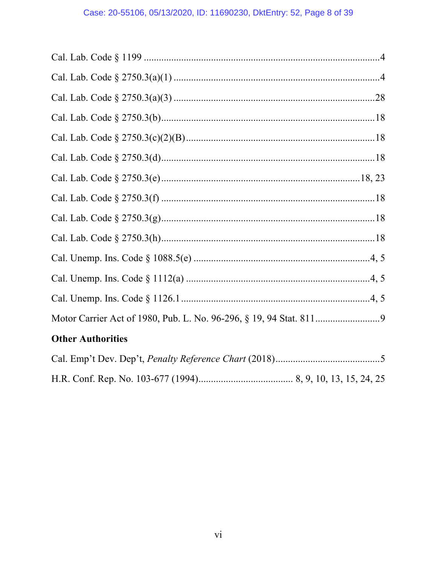| <b>Other Authorities</b> |
|--------------------------|
|                          |
|                          |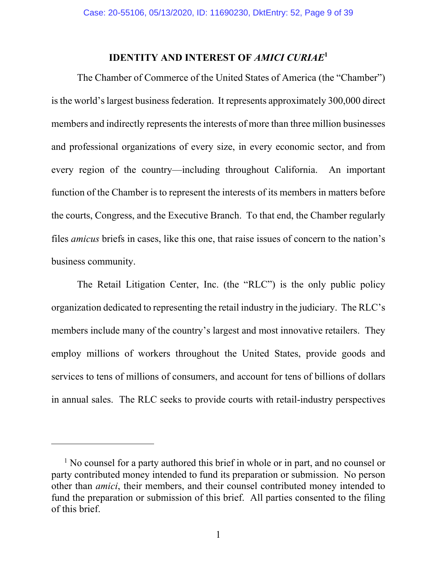# **IDENTITY AND INTEREST OF** *AMICI CURIAE***<sup>1</sup>**

The Chamber of Commerce of the United States of America (the "Chamber") is the world's largest business federation. It represents approximately 300,000 direct members and indirectly represents the interests of more than three million businesses and professional organizations of every size, in every economic sector, and from every region of the country—including throughout California. An important function of the Chamber is to represent the interests of its members in matters before the courts, Congress, and the Executive Branch. To that end, the Chamber regularly files *amicus* briefs in cases, like this one, that raise issues of concern to the nation's business community.

The Retail Litigation Center, Inc. (the "RLC") is the only public policy organization dedicated to representing the retail industry in the judiciary. The RLC's members include many of the country's largest and most innovative retailers. They employ millions of workers throughout the United States, provide goods and services to tens of millions of consumers, and account for tens of billions of dollars in annual sales. The RLC seeks to provide courts with retail-industry perspectives

 $\overline{a}$ 

<sup>&</sup>lt;sup>1</sup> No counsel for a party authored this brief in whole or in part, and no counsel or party contributed money intended to fund its preparation or submission. No person other than *amici*, their members, and their counsel contributed money intended to fund the preparation or submission of this brief. All parties consented to the filing of this brief.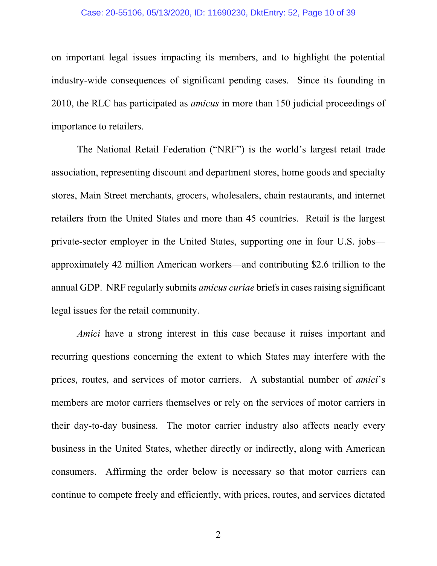#### Case: 20-55106, 05/13/2020, ID: 11690230, DktEntry: 52, Page 10 of 39

on important legal issues impacting its members, and to highlight the potential industry-wide consequences of significant pending cases. Since its founding in 2010, the RLC has participated as *amicus* in more than 150 judicial proceedings of importance to retailers.

The National Retail Federation ("NRF") is the world's largest retail trade association, representing discount and department stores, home goods and specialty stores, Main Street merchants, grocers, wholesalers, chain restaurants, and internet retailers from the United States and more than 45 countries. Retail is the largest private-sector employer in the United States, supporting one in four U.S. jobs approximately 42 million American workers—and contributing \$2.6 trillion to the annual GDP. NRF regularly submits *amicus curiae* briefs in cases raising significant legal issues for the retail community.

*Amici* have a strong interest in this case because it raises important and recurring questions concerning the extent to which States may interfere with the prices, routes, and services of motor carriers. A substantial number of *amici*'s members are motor carriers themselves or rely on the services of motor carriers in their day-to-day business. The motor carrier industry also affects nearly every business in the United States, whether directly or indirectly, along with American consumers. Affirming the order below is necessary so that motor carriers can continue to compete freely and efficiently, with prices, routes, and services dictated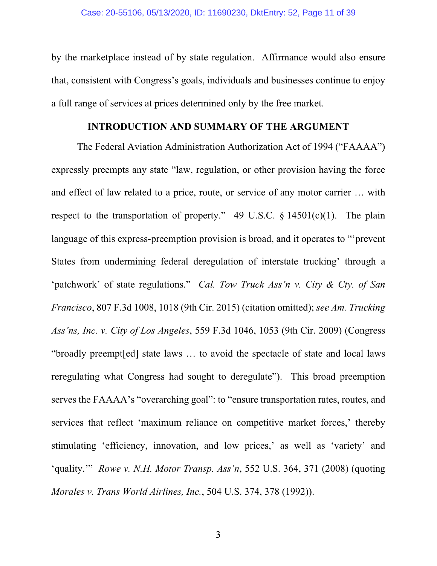by the marketplace instead of by state regulation. Affirmance would also ensure that, consistent with Congress's goals, individuals and businesses continue to enjoy a full range of services at prices determined only by the free market.

### **INTRODUCTION AND SUMMARY OF THE ARGUMENT**

The Federal Aviation Administration Authorization Act of 1994 ("FAAAA") expressly preempts any state "law, regulation, or other provision having the force and effect of law related to a price, route, or service of any motor carrier … with respect to the transportation of property." 49 U.S.C.  $\S$  14501(c)(1). The plain language of this express-preemption provision is broad, and it operates to "'prevent States from undermining federal deregulation of interstate trucking' through a 'patchwork' of state regulations." *Cal. Tow Truck Ass'n v. City & Cty. of San Francisco*, 807 F.3d 1008, 1018 (9th Cir. 2015) (citation omitted); *see Am. Trucking Ass'ns, Inc. v. City of Los Angeles*, 559 F.3d 1046, 1053 (9th Cir. 2009) (Congress "broadly preempt[ed] state laws … to avoid the spectacle of state and local laws reregulating what Congress had sought to deregulate"). This broad preemption serves the FAAAA's "overarching goal": to "ensure transportation rates, routes, and services that reflect 'maximum reliance on competitive market forces,' thereby stimulating 'efficiency, innovation, and low prices,' as well as 'variety' and 'quality.'" *Rowe v. N.H. Motor Transp. Ass'n*, 552 U.S. 364, 371 (2008) (quoting *Morales v. Trans World Airlines, Inc.*, 504 U.S. 374, 378 (1992)).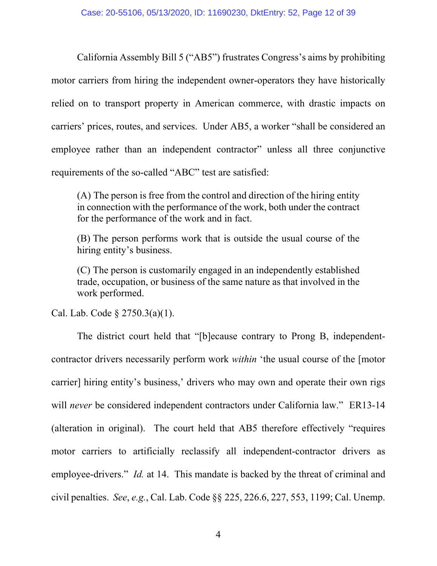California Assembly Bill 5 ("AB5") frustrates Congress's aims by prohibiting motor carriers from hiring the independent owner-operators they have historically relied on to transport property in American commerce, with drastic impacts on carriers' prices, routes, and services. Under AB5, a worker "shall be considered an employee rather than an independent contractor" unless all three conjunctive requirements of the so-called "ABC" test are satisfied:

(A) The person is free from the control and direction of the hiring entity in connection with the performance of the work, both under the contract for the performance of the work and in fact.

(B) The person performs work that is outside the usual course of the hiring entity's business.

(C) The person is customarily engaged in an independently established trade, occupation, or business of the same nature as that involved in the work performed.

Cal. Lab. Code § 2750.3(a)(1).

The district court held that "[b]ecause contrary to Prong B, independentcontractor drivers necessarily perform work *within* 'the usual course of the [motor carrier] hiring entity's business,' drivers who may own and operate their own rigs will *never* be considered independent contractors under California law." ER13-14 (alteration in original). The court held that AB5 therefore effectively "requires motor carriers to artificially reclassify all independent-contractor drivers as employee-drivers." *Id.* at 14. This mandate is backed by the threat of criminal and civil penalties. *See*, *e.g.*, Cal. Lab. Code §§ 225, 226.6, 227, 553, 1199; Cal. Unemp.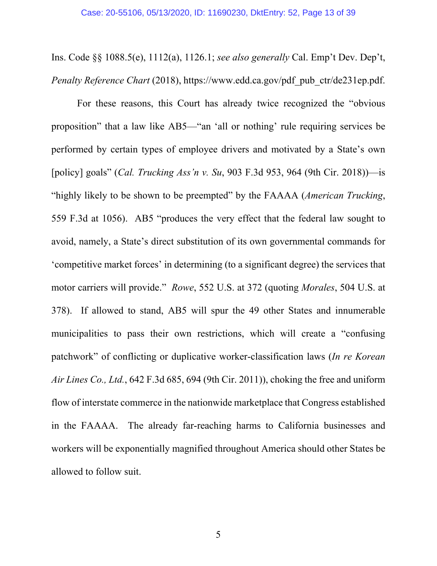Ins. Code §§ 1088.5(e), 1112(a), 1126.1; *see also generally* Cal. Emp't Dev. Dep't, *Penalty Reference Chart* (2018), https://www.edd.ca.gov/pdf\_pub\_ctr/de231ep.pdf.

For these reasons, this Court has already twice recognized the "obvious proposition" that a law like AB5—"an 'all or nothing' rule requiring services be performed by certain types of employee drivers and motivated by a State's own [policy] goals" (*Cal. Trucking Ass'n v. Su*, 903 F.3d 953, 964 (9th Cir. 2018))—is "highly likely to be shown to be preempted" by the FAAAA (*American Trucking*, 559 F.3d at 1056). AB5 "produces the very effect that the federal law sought to avoid, namely, a State's direct substitution of its own governmental commands for 'competitive market forces' in determining (to a significant degree) the services that motor carriers will provide." *Rowe*, 552 U.S. at 372 (quoting *Morales*, 504 U.S. at 378). If allowed to stand, AB5 will spur the 49 other States and innumerable municipalities to pass their own restrictions, which will create a "confusing patchwork" of conflicting or duplicative worker-classification laws (*In re Korean Air Lines Co., Ltd.*, 642 F.3d 685, 694 (9th Cir. 2011)), choking the free and uniform flow of interstate commerce in the nationwide marketplace that Congress established in the FAAAA. The already far-reaching harms to California businesses and workers will be exponentially magnified throughout America should other States be allowed to follow suit.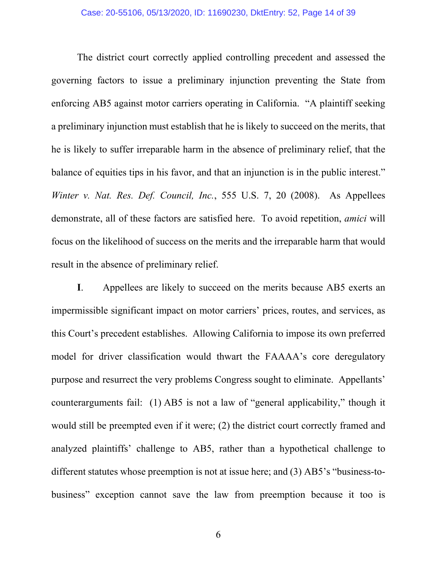The district court correctly applied controlling precedent and assessed the governing factors to issue a preliminary injunction preventing the State from enforcing AB5 against motor carriers operating in California. "A plaintiff seeking a preliminary injunction must establish that he is likely to succeed on the merits, that he is likely to suffer irreparable harm in the absence of preliminary relief, that the balance of equities tips in his favor, and that an injunction is in the public interest." *Winter v. Nat. Res. Def. Council, Inc.*, 555 U.S. 7, 20 (2008). As Appellees demonstrate, all of these factors are satisfied here. To avoid repetition, *amici* will focus on the likelihood of success on the merits and the irreparable harm that would result in the absence of preliminary relief.

**I**. Appellees are likely to succeed on the merits because AB5 exerts an impermissible significant impact on motor carriers' prices, routes, and services, as this Court's precedent establishes. Allowing California to impose its own preferred model for driver classification would thwart the FAAAA's core deregulatory purpose and resurrect the very problems Congress sought to eliminate. Appellants' counterarguments fail: (1) AB5 is not a law of "general applicability," though it would still be preempted even if it were; (2) the district court correctly framed and analyzed plaintiffs' challenge to AB5, rather than a hypothetical challenge to different statutes whose preemption is not at issue here; and (3) AB5's "business-tobusiness" exception cannot save the law from preemption because it too is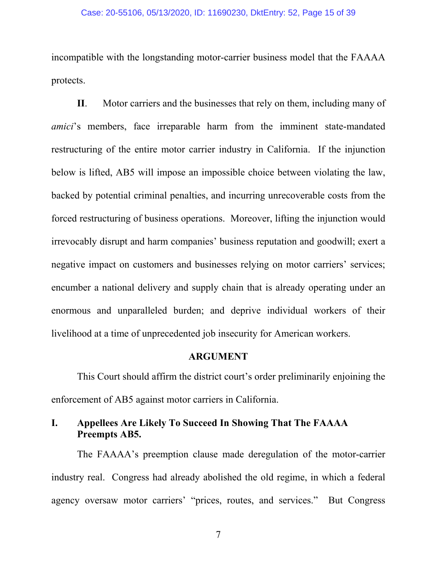#### Case: 20-55106, 05/13/2020, ID: 11690230, DktEntry: 52, Page 15 of 39

incompatible with the longstanding motor-carrier business model that the FAAAA protects.

**II**. Motor carriers and the businesses that rely on them, including many of *amici*'s members, face irreparable harm from the imminent state-mandated restructuring of the entire motor carrier industry in California. If the injunction below is lifted, AB5 will impose an impossible choice between violating the law, backed by potential criminal penalties, and incurring unrecoverable costs from the forced restructuring of business operations. Moreover, lifting the injunction would irrevocably disrupt and harm companies' business reputation and goodwill; exert a negative impact on customers and businesses relying on motor carriers' services; encumber a national delivery and supply chain that is already operating under an enormous and unparalleled burden; and deprive individual workers of their livelihood at a time of unprecedented job insecurity for American workers.

### **ARGUMENT**

This Court should affirm the district court's order preliminarily enjoining the enforcement of AB5 against motor carriers in California.

## **I. Appellees Are Likely To Succeed In Showing That The FAAAA Preempts AB5.**

The FAAAA's preemption clause made deregulation of the motor-carrier industry real. Congress had already abolished the old regime, in which a federal agency oversaw motor carriers' "prices, routes, and services." But Congress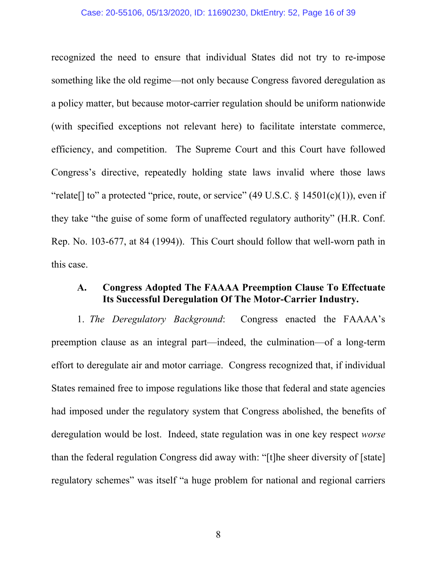#### Case: 20-55106, 05/13/2020, ID: 11690230, DktEntry: 52, Page 16 of 39

recognized the need to ensure that individual States did not try to re-impose something like the old regime—not only because Congress favored deregulation as a policy matter, but because motor-carrier regulation should be uniform nationwide (with specified exceptions not relevant here) to facilitate interstate commerce, efficiency, and competition. The Supreme Court and this Court have followed Congress's directive, repeatedly holding state laws invalid where those laws "relate[] to" a protected "price, route, or service" (49 U.S.C.  $\S$  14501(c)(1)), even if they take "the guise of some form of unaffected regulatory authority" (H.R. Conf. Rep. No. 103-677, at 84 (1994)). This Court should follow that well-worn path in this case.

### **A. Congress Adopted The FAAAA Preemption Clause To Effectuate Its Successful Deregulation Of The Motor-Carrier Industry.**

1. *The Deregulatory Background*: Congress enacted the FAAAA's preemption clause as an integral part—indeed, the culmination—of a long-term effort to deregulate air and motor carriage. Congress recognized that, if individual States remained free to impose regulations like those that federal and state agencies had imposed under the regulatory system that Congress abolished, the benefits of deregulation would be lost. Indeed, state regulation was in one key respect *worse* than the federal regulation Congress did away with: "[t]he sheer diversity of [state] regulatory schemes" was itself "a huge problem for national and regional carriers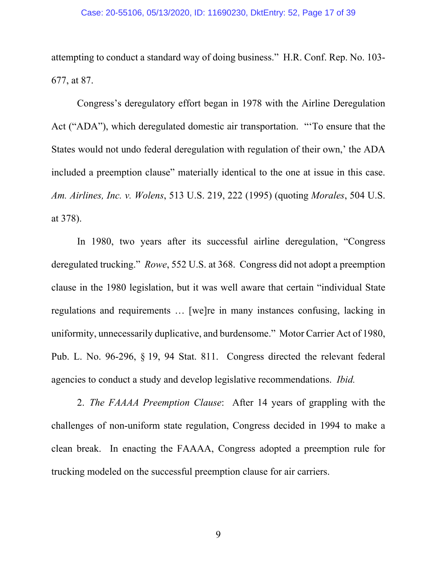attempting to conduct a standard way of doing business." H.R. Conf. Rep. No. 103- 677, at 87.

Congress's deregulatory effort began in 1978 with the Airline Deregulation Act ("ADA"), which deregulated domestic air transportation. "'To ensure that the States would not undo federal deregulation with regulation of their own,' the ADA included a preemption clause" materially identical to the one at issue in this case. *Am. Airlines, Inc. v. Wolens*, 513 U.S. 219, 222 (1995) (quoting *Morales*, 504 U.S. at 378).

In 1980, two years after its successful airline deregulation, "Congress deregulated trucking." *Rowe*, 552 U.S. at 368. Congress did not adopt a preemption clause in the 1980 legislation, but it was well aware that certain "individual State regulations and requirements … [we]re in many instances confusing, lacking in uniformity, unnecessarily duplicative, and burdensome." Motor Carrier Act of 1980, Pub. L. No. 96-296, § 19, 94 Stat. 811. Congress directed the relevant federal agencies to conduct a study and develop legislative recommendations. *Ibid.*

2. *The FAAAA Preemption Clause*: After 14 years of grappling with the challenges of non-uniform state regulation, Congress decided in 1994 to make a clean break. In enacting the FAAAA, Congress adopted a preemption rule for trucking modeled on the successful preemption clause for air carriers.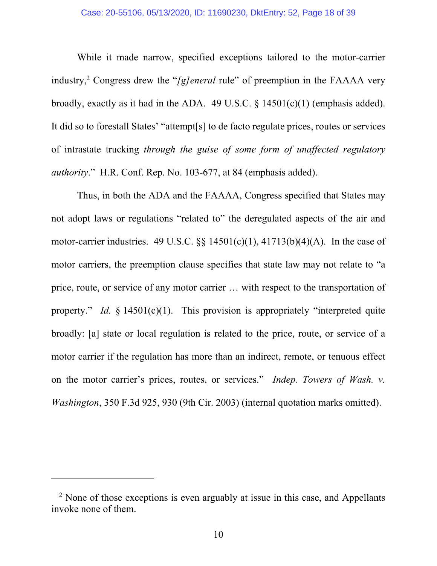While it made narrow, specified exceptions tailored to the motor-carrier industry,<sup>2</sup> Congress drew the "*[g]eneral* rule" of preemption in the FAAAA very broadly, exactly as it had in the ADA. 49 U.S.C.  $\S$  14501(c)(1) (emphasis added). It did so to forestall States' "attempt[s] to de facto regulate prices, routes or services of intrastate trucking *through the guise of some form of unaffected regulatory authority*." H.R. Conf. Rep. No. 103-677, at 84 (emphasis added).

Thus, in both the ADA and the FAAAA, Congress specified that States may not adopt laws or regulations "related to" the deregulated aspects of the air and motor-carrier industries. 49 U.S.C.  $\S$   $\S$  14501(c)(1), 41713(b)(4)(A). In the case of motor carriers, the preemption clause specifies that state law may not relate to "a price, route, or service of any motor carrier … with respect to the transportation of property." *Id.* § 14501(c)(1). This provision is appropriately "interpreted quite broadly: [a] state or local regulation is related to the price, route, or service of a motor carrier if the regulation has more than an indirect, remote, or tenuous effect on the motor carrier's prices, routes, or services." *Indep. Towers of Wash. v. Washington*, 350 F.3d 925, 930 (9th Cir. 2003) (internal quotation marks omitted).

 $\overline{a}$ 

<sup>&</sup>lt;sup>2</sup> None of those exceptions is even arguably at issue in this case, and Appellants invoke none of them.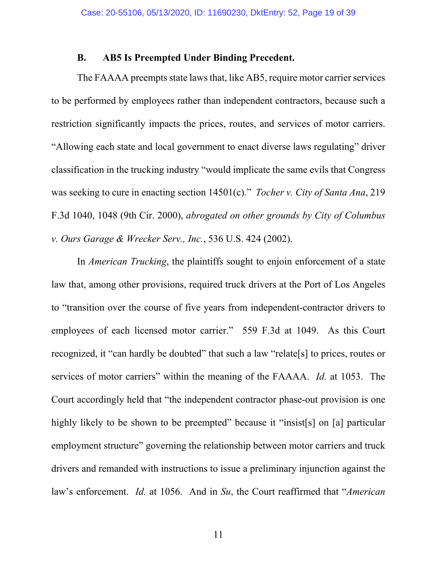### **B. AB5 Is Preempted Under Binding Precedent.**

The FAAAA preempts state laws that, like AB5, require motor carrier services to be performed by employees rather than independent contractors, because such a restriction significantly impacts the prices, routes, and services of motor carriers. "Allowing each state and local government to enact diverse laws regulating" driver classification in the trucking industry "would implicate the same evils that Congress was seeking to cure in enacting section 14501(c)." *Tocher v. City of Santa Ana*, 219 F.3d 1040, 1048 (9th Cir. 2000), *abrogated on other grounds by City of Columbus v. Ours Garage & Wrecker Serv., Inc.*, 536 U.S. 424 (2002).

In *American Trucking*, the plaintiffs sought to enjoin enforcement of a state law that, among other provisions, required truck drivers at the Port of Los Angeles to "transition over the course of five years from independent-contractor drivers to employees of each licensed motor carrier." 559 F.3d at 1049. As this Court recognized, it "can hardly be doubted" that such a law "relate[s] to prices, routes or services of motor carriers" within the meaning of the FAAAA. *Id.* at 1053. The Court accordingly held that "the independent contractor phase-out provision is one highly likely to be shown to be preempted" because it "insist[s] on [a] particular employment structure" governing the relationship between motor carriers and truck drivers and remanded with instructions to issue a preliminary injunction against the law's enforcement. *Id.* at 1056. And in *Su*, the Court reaffirmed that "*American*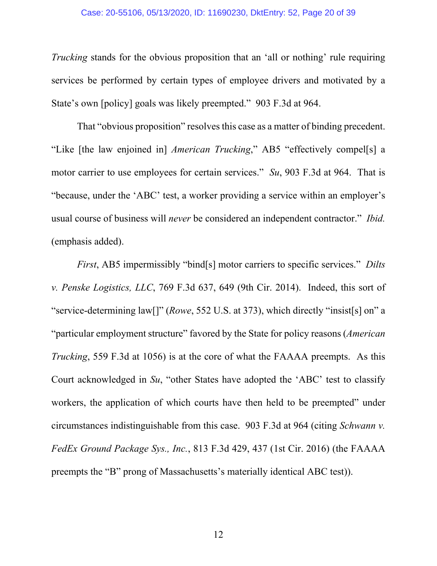#### Case: 20-55106, 05/13/2020, ID: 11690230, DktEntry: 52, Page 20 of 39

*Trucking* stands for the obvious proposition that an 'all or nothing' rule requiring services be performed by certain types of employee drivers and motivated by a State's own [policy] goals was likely preempted." 903 F.3d at 964.

That "obvious proposition" resolves this case as a matter of binding precedent. "Like [the law enjoined in] *American Trucking*," AB5 "effectively compel[s] a motor carrier to use employees for certain services." *Su*, 903 F.3d at 964. That is "because, under the 'ABC' test, a worker providing a service within an employer's usual course of business will *never* be considered an independent contractor." *Ibid.* (emphasis added).

*First*, AB5 impermissibly "bind[s] motor carriers to specific services." *Dilts v. Penske Logistics, LLC*, 769 F.3d 637, 649 (9th Cir. 2014). Indeed, this sort of "service-determining law[]" (*Rowe*, 552 U.S. at 373), which directly "insist[s] on" a "particular employment structure" favored by the State for policy reasons (*American Trucking*, 559 F.3d at 1056) is at the core of what the FAAAA preempts. As this Court acknowledged in *Su*, "other States have adopted the 'ABC' test to classify workers, the application of which courts have then held to be preempted" under circumstances indistinguishable from this case. 903 F.3d at 964 (citing *Schwann v. FedEx Ground Package Sys., Inc.*, 813 F.3d 429, 437 (1st Cir. 2016) (the FAAAA preempts the "B" prong of Massachusetts's materially identical ABC test)).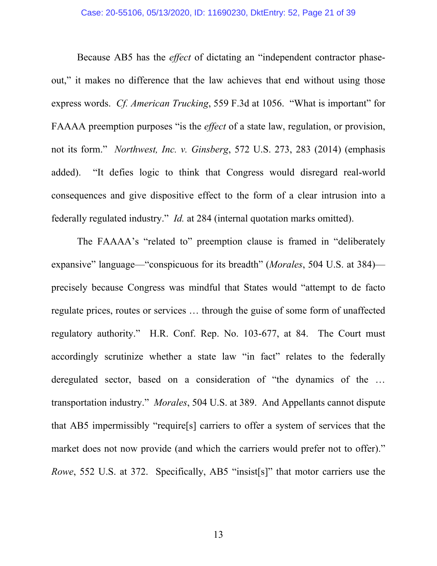Because AB5 has the *effect* of dictating an "independent contractor phaseout," it makes no difference that the law achieves that end without using those express words. *Cf. American Trucking*, 559 F.3d at 1056. "What is important" for FAAAA preemption purposes "is the *effect* of a state law, regulation, or provision, not its form." *Northwest, Inc. v. Ginsberg*, 572 U.S. 273, 283 (2014) (emphasis added). "It defies logic to think that Congress would disregard real-world consequences and give dispositive effect to the form of a clear intrusion into a federally regulated industry." *Id.* at 284 (internal quotation marks omitted).

The FAAAA's "related to" preemption clause is framed in "deliberately expansive" language—"conspicuous for its breadth" (*Morales*, 504 U.S. at 384) precisely because Congress was mindful that States would "attempt to de facto regulate prices, routes or services … through the guise of some form of unaffected regulatory authority." H.R. Conf. Rep. No. 103-677, at 84. The Court must accordingly scrutinize whether a state law "in fact" relates to the federally deregulated sector, based on a consideration of "the dynamics of the … transportation industry." *Morales*, 504 U.S. at 389. And Appellants cannot dispute that AB5 impermissibly "require[s] carriers to offer a system of services that the market does not now provide (and which the carriers would prefer not to offer)." *Rowe*, 552 U.S. at 372. Specifically, AB5 "insist[s]" that motor carriers use the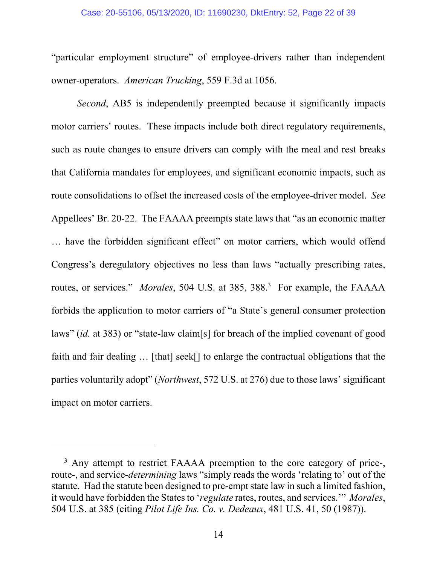#### Case: 20-55106, 05/13/2020, ID: 11690230, DktEntry: 52, Page 22 of 39

"particular employment structure" of employee-drivers rather than independent owner-operators. *American Trucking*, 559 F.3d at 1056.

*Second*, AB5 is independently preempted because it significantly impacts motor carriers' routes. These impacts include both direct regulatory requirements, such as route changes to ensure drivers can comply with the meal and rest breaks that California mandates for employees, and significant economic impacts, such as route consolidations to offset the increased costs of the employee-driver model. *See* Appellees' Br. 20-22. The FAAAA preempts state laws that "as an economic matter … have the forbidden significant effect" on motor carriers, which would offend Congress's deregulatory objectives no less than laws "actually prescribing rates, routes, or services." *Morales*, 504 U.S. at 385, 388.<sup>3</sup> For example, the FAAAA forbids the application to motor carriers of "a State's general consumer protection laws" (*id.* at 383) or "state-law claim[s] for breach of the implied covenant of good faith and fair dealing ... [that] seek[] to enlarge the contractual obligations that the parties voluntarily adopt" (*Northwest*, 572 U.S. at 276) due to those laws' significant impact on motor carriers.

 $\overline{a}$ 

 $3$  Any attempt to restrict FAAAA preemption to the core category of price-, route-, and service-*determining* laws "simply reads the words 'relating to' out of the statute. Had the statute been designed to pre-empt state law in such a limited fashion, it would have forbidden the States to '*regulate* rates, routes, and services.'" *Morales*, 504 U.S. at 385 (citing *Pilot Life Ins. Co. v. Dedeaux*, 481 U.S. 41, 50 (1987)).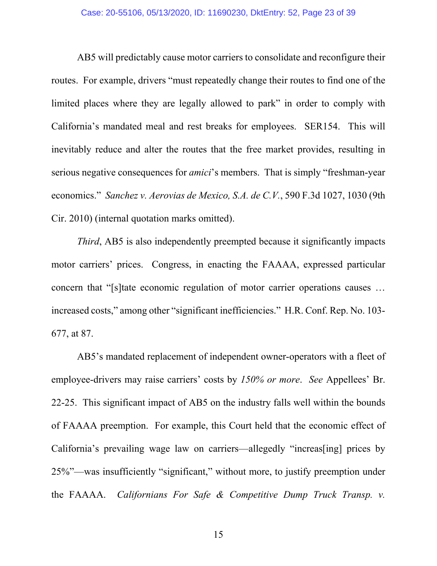AB5 will predictably cause motor carriers to consolidate and reconfigure their routes. For example, drivers "must repeatedly change their routes to find one of the limited places where they are legally allowed to park" in order to comply with California's mandated meal and rest breaks for employees. SER154. This will inevitably reduce and alter the routes that the free market provides, resulting in serious negative consequences for *amici*'s members. That is simply "freshman-year economics." *Sanchez v. Aerovias de Mexico, S.A. de C.V.*, 590 F.3d 1027, 1030 (9th Cir. 2010) (internal quotation marks omitted).

*Third*, AB5 is also independently preempted because it significantly impacts motor carriers' prices. Congress, in enacting the FAAAA, expressed particular concern that "[s]tate economic regulation of motor carrier operations causes … increased costs," among other "significant inefficiencies." H.R. Conf. Rep. No. 103- 677, at 87.

AB5's mandated replacement of independent owner-operators with a fleet of employee-drivers may raise carriers' costs by *150% or more*. *See* Appellees' Br. 22-25. This significant impact of AB5 on the industry falls well within the bounds of FAAAA preemption. For example, this Court held that the economic effect of California's prevailing wage law on carriers—allegedly "increas[ing] prices by 25%"—was insufficiently "significant," without more, to justify preemption under the FAAAA. *Californians For Safe & Competitive Dump Truck Transp. v.*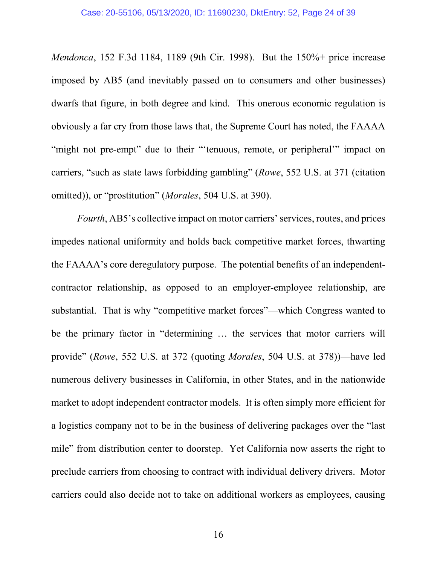*Mendonca*, 152 F.3d 1184, 1189 (9th Cir. 1998). But the 150%+ price increase imposed by AB5 (and inevitably passed on to consumers and other businesses) dwarfs that figure, in both degree and kind. This onerous economic regulation is obviously a far cry from those laws that, the Supreme Court has noted, the FAAAA "might not pre-empt" due to their "'tenuous, remote, or peripheral'" impact on carriers, "such as state laws forbidding gambling" (*Rowe*, 552 U.S. at 371 (citation omitted)), or "prostitution" (*Morales*, 504 U.S. at 390).

*Fourth*, AB5's collective impact on motor carriers' services, routes, and prices impedes national uniformity and holds back competitive market forces, thwarting the FAAAA's core deregulatory purpose. The potential benefits of an independentcontractor relationship, as opposed to an employer-employee relationship, are substantial. That is why "competitive market forces"—which Congress wanted to be the primary factor in "determining … the services that motor carriers will provide" (*Rowe*, 552 U.S. at 372 (quoting *Morales*, 504 U.S. at 378))—have led numerous delivery businesses in California, in other States, and in the nationwide market to adopt independent contractor models. It is often simply more efficient for a logistics company not to be in the business of delivering packages over the "last mile" from distribution center to doorstep. Yet California now asserts the right to preclude carriers from choosing to contract with individual delivery drivers. Motor carriers could also decide not to take on additional workers as employees, causing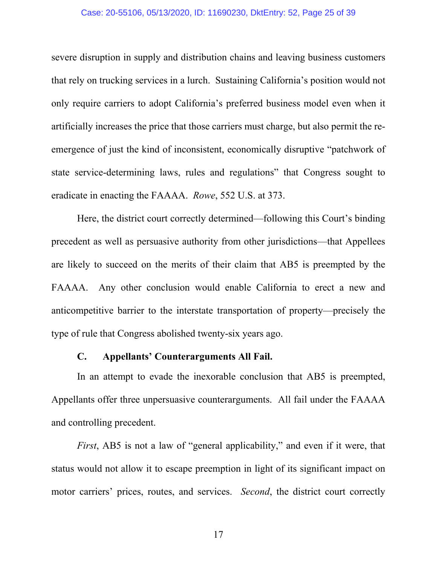#### Case: 20-55106, 05/13/2020, ID: 11690230, DktEntry: 52, Page 25 of 39

severe disruption in supply and distribution chains and leaving business customers that rely on trucking services in a lurch. Sustaining California's position would not only require carriers to adopt California's preferred business model even when it artificially increases the price that those carriers must charge, but also permit the reemergence of just the kind of inconsistent, economically disruptive "patchwork of state service-determining laws, rules and regulations" that Congress sought to eradicate in enacting the FAAAA. *Rowe*, 552 U.S. at 373.

Here, the district court correctly determined—following this Court's binding precedent as well as persuasive authority from other jurisdictions—that Appellees are likely to succeed on the merits of their claim that AB5 is preempted by the FAAAA. Any other conclusion would enable California to erect a new and anticompetitive barrier to the interstate transportation of property—precisely the type of rule that Congress abolished twenty-six years ago.

#### **C. Appellants' Counterarguments All Fail.**

In an attempt to evade the inexorable conclusion that AB5 is preempted, Appellants offer three unpersuasive counterarguments. All fail under the FAAAA and controlling precedent.

*First*, AB5 is not a law of "general applicability," and even if it were, that status would not allow it to escape preemption in light of its significant impact on motor carriers' prices, routes, and services. *Second*, the district court correctly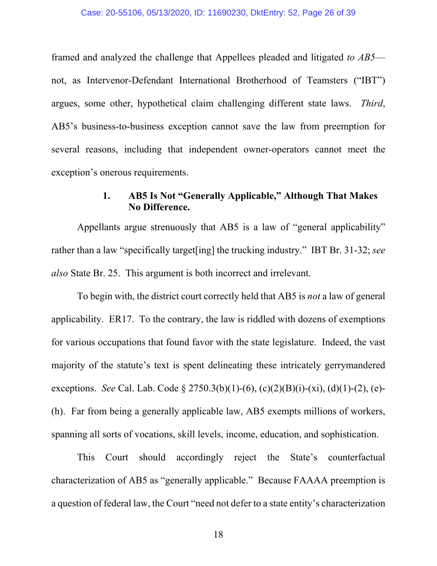framed and analyzed the challenge that Appellees pleaded and litigated *to AB5* not, as Intervenor-Defendant International Brotherhood of Teamsters ("IBT") argues, some other, hypothetical claim challenging different state laws. *Third*, AB5's business-to-business exception cannot save the law from preemption for several reasons, including that independent owner-operators cannot meet the exception's onerous requirements.

### **1. AB5 Is Not "Generally Applicable," Although That Makes No Difference.**

Appellants argue strenuously that AB5 is a law of "general applicability" rather than a law "specifically target[ing] the trucking industry." IBT Br. 31-32; *see also* State Br. 25. This argument is both incorrect and irrelevant.

To begin with, the district court correctly held that AB5 is *not* a law of general applicability. ER17. To the contrary, the law is riddled with dozens of exemptions for various occupations that found favor with the state legislature. Indeed, the vast majority of the statute's text is spent delineating these intricately gerrymandered exceptions. *See* Cal. Lab. Code § 2750.3(b)(1)-(6), (c)(2)(B)(i)-(xi), (d)(1)-(2), (e)- (h). Far from being a generally applicable law, AB5 exempts millions of workers, spanning all sorts of vocations, skill levels, income, education, and sophistication.

This Court should accordingly reject the State's counterfactual characterization of AB5 as "generally applicable." Because FAAAA preemption is a question of federal law, the Court "need not defer to a state entity's characterization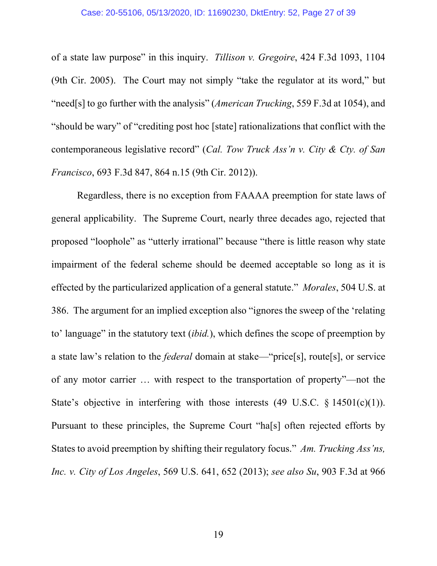of a state law purpose" in this inquiry. *Tillison v. Gregoire*, 424 F.3d 1093, 1104 (9th Cir. 2005). The Court may not simply "take the regulator at its word," but "need[s] to go further with the analysis" (*American Trucking*, 559 F.3d at 1054), and "should be wary" of "crediting post hoc [state] rationalizations that conflict with the contemporaneous legislative record" (*Cal. Tow Truck Ass'n v. City & Cty. of San Francisco*, 693 F.3d 847, 864 n.15 (9th Cir. 2012)).

Regardless, there is no exception from FAAAA preemption for state laws of general applicability. The Supreme Court, nearly three decades ago, rejected that proposed "loophole" as "utterly irrational" because "there is little reason why state impairment of the federal scheme should be deemed acceptable so long as it is effected by the particularized application of a general statute." *Morales*, 504 U.S. at 386. The argument for an implied exception also "ignores the sweep of the 'relating to' language" in the statutory text (*ibid.*), which defines the scope of preemption by a state law's relation to the *federal* domain at stake—"price[s], route[s], or service of any motor carrier … with respect to the transportation of property"—not the State's objective in interfering with those interests  $(49 \text{ U.S.C. } § 14501(c)(1)).$ Pursuant to these principles, the Supreme Court "ha[s] often rejected efforts by States to avoid preemption by shifting their regulatory focus." *Am. Trucking Ass'ns, Inc. v. City of Los Angeles*, 569 U.S. 641, 652 (2013); *see also Su*, 903 F.3d at 966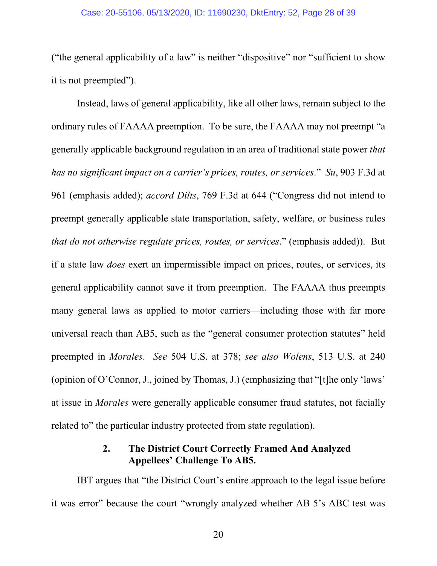#### Case: 20-55106, 05/13/2020, ID: 11690230, DktEntry: 52, Page 28 of 39

("the general applicability of a law" is neither "dispositive" nor "sufficient to show it is not preempted").

Instead, laws of general applicability, like all other laws, remain subject to the ordinary rules of FAAAA preemption. To be sure, the FAAAA may not preempt "a generally applicable background regulation in an area of traditional state power *that has no significant impact on a carrier's prices, routes, or services*." *Su*, 903 F.3d at 961 (emphasis added); *accord Dilts*, 769 F.3d at 644 ("Congress did not intend to preempt generally applicable state transportation, safety, welfare, or business rules *that do not otherwise regulate prices, routes, or services*." (emphasis added)). But if a state law *does* exert an impermissible impact on prices, routes, or services, its general applicability cannot save it from preemption. The FAAAA thus preempts many general laws as applied to motor carriers—including those with far more universal reach than AB5, such as the "general consumer protection statutes" held preempted in *Morales*. *See* 504 U.S. at 378; *see also Wolens*, 513 U.S. at 240 (opinion of O'Connor, J., joined by Thomas, J.) (emphasizing that "[t]he only 'laws' at issue in *Morales* were generally applicable consumer fraud statutes, not facially related to" the particular industry protected from state regulation).

### **2. The District Court Correctly Framed And Analyzed Appellees' Challenge To AB5.**

IBT argues that "the District Court's entire approach to the legal issue before it was error" because the court "wrongly analyzed whether AB 5's ABC test was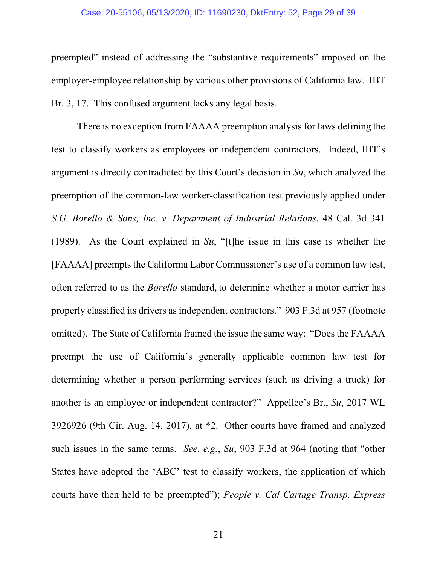#### Case: 20-55106, 05/13/2020, ID: 11690230, DktEntry: 52, Page 29 of 39

preempted" instead of addressing the "substantive requirements" imposed on the employer-employee relationship by various other provisions of California law. IBT Br. 3, 17. This confused argument lacks any legal basis.

There is no exception from FAAAA preemption analysis for laws defining the test to classify workers as employees or independent contractors. Indeed, IBT's argument is directly contradicted by this Court's decision in *Su*, which analyzed the preemption of the common-law worker-classification test previously applied under *S.G. Borello & Sons, Inc. v. Department of Industrial Relations*, 48 Cal. 3d 341 (1989). As the Court explained in *Su*, "[t]he issue in this case is whether the [FAAAA] preempts the California Labor Commissioner's use of a common law test, often referred to as the *Borello* standard, to determine whether a motor carrier has properly classified its drivers as independent contractors." 903 F.3d at 957 (footnote omitted). The State of California framed the issue the same way: "Does the FAAAA preempt the use of California's generally applicable common law test for determining whether a person performing services (such as driving a truck) for another is an employee or independent contractor?" Appellee's Br., *Su*, 2017 WL 3926926 (9th Cir. Aug. 14, 2017), at \*2. Other courts have framed and analyzed such issues in the same terms. *See*, *e.g.*, *Su*, 903 F.3d at 964 (noting that "other States have adopted the 'ABC' test to classify workers, the application of which courts have then held to be preempted"); *People v. Cal Cartage Transp. Express*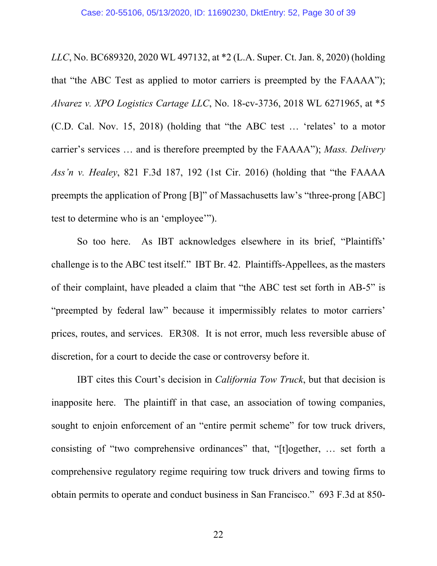*LLC*, No. BC689320, 2020 WL 497132, at \*2 (L.A. Super. Ct. Jan. 8, 2020) (holding that "the ABC Test as applied to motor carriers is preempted by the FAAAA"); *Alvarez v. XPO Logistics Cartage LLC*, No. 18-cv-3736, 2018 WL 6271965, at \*5 (C.D. Cal. Nov. 15, 2018) (holding that "the ABC test … 'relates' to a motor carrier's services … and is therefore preempted by the FAAAA"); *Mass. Delivery Ass'n v. Healey*, 821 F.3d 187, 192 (1st Cir. 2016) (holding that "the FAAAA preempts the application of Prong [B]" of Massachusetts law's "three-prong [ABC] test to determine who is an 'employee'").

So too here. As IBT acknowledges elsewhere in its brief, "Plaintiffs' challenge is to the ABC test itself." IBT Br. 42. Plaintiffs-Appellees, as the masters of their complaint, have pleaded a claim that "the ABC test set forth in AB-5" is "preempted by federal law" because it impermissibly relates to motor carriers' prices, routes, and services. ER308. It is not error, much less reversible abuse of discretion, for a court to decide the case or controversy before it.

IBT cites this Court's decision in *California Tow Truck*, but that decision is inapposite here. The plaintiff in that case, an association of towing companies, sought to enjoin enforcement of an "entire permit scheme" for tow truck drivers, consisting of "two comprehensive ordinances" that, "[t]ogether, … set forth a comprehensive regulatory regime requiring tow truck drivers and towing firms to obtain permits to operate and conduct business in San Francisco." 693 F.3d at 850-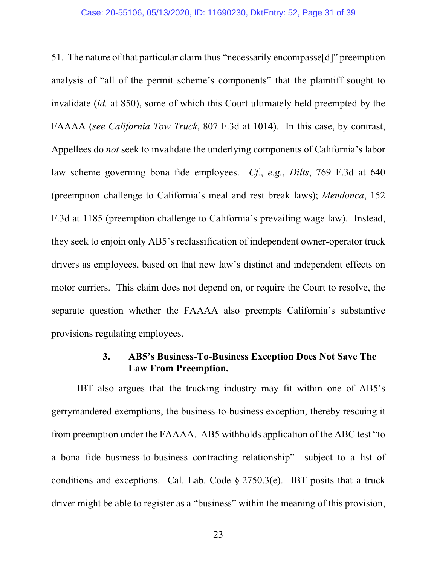51. The nature of that particular claim thus "necessarily encompasse[d]" preemption analysis of "all of the permit scheme's components" that the plaintiff sought to invalidate (*id.* at 850), some of which this Court ultimately held preempted by the FAAAA (*see California Tow Truck*, 807 F.3d at 1014). In this case, by contrast, Appellees do *not* seek to invalidate the underlying components of California's labor law scheme governing bona fide employees. *Cf.*, *e.g.*, *Dilts*, 769 F.3d at 640 (preemption challenge to California's meal and rest break laws); *Mendonca*, 152 F.3d at 1185 (preemption challenge to California's prevailing wage law). Instead, they seek to enjoin only AB5's reclassification of independent owner-operator truck drivers as employees, based on that new law's distinct and independent effects on motor carriers. This claim does not depend on, or require the Court to resolve, the separate question whether the FAAAA also preempts California's substantive provisions regulating employees.

### **3. AB5's Business-To-Business Exception Does Not Save The Law From Preemption.**

IBT also argues that the trucking industry may fit within one of AB5's gerrymandered exemptions, the business-to-business exception, thereby rescuing it from preemption under the FAAAA. AB5 withholds application of the ABC test "to a bona fide business-to-business contracting relationship"—subject to a list of conditions and exceptions. Cal. Lab. Code § 2750.3(e). IBT posits that a truck driver might be able to register as a "business" within the meaning of this provision,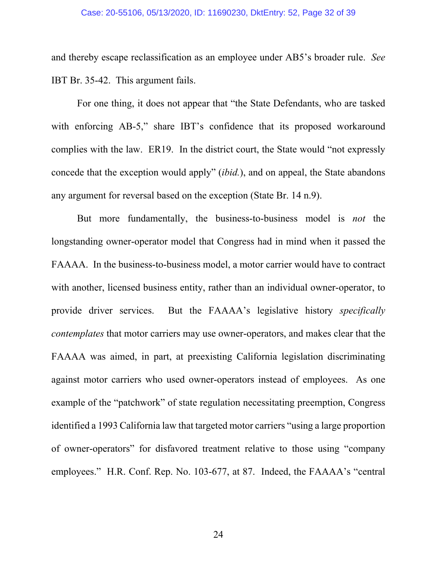#### Case: 20-55106, 05/13/2020, ID: 11690230, DktEntry: 52, Page 32 of 39

and thereby escape reclassification as an employee under AB5's broader rule. *See* IBT Br. 35-42. This argument fails.

For one thing, it does not appear that "the State Defendants, who are tasked with enforcing AB-5," share IBT's confidence that its proposed workaround complies with the law. ER19. In the district court, the State would "not expressly concede that the exception would apply" (*ibid.*), and on appeal, the State abandons any argument for reversal based on the exception (State Br. 14 n.9).

But more fundamentally, the business-to-business model is *not* the longstanding owner-operator model that Congress had in mind when it passed the FAAAA. In the business-to-business model, a motor carrier would have to contract with another, licensed business entity, rather than an individual owner-operator, to provide driver services. But the FAAAA's legislative history *specifically contemplates* that motor carriers may use owner-operators, and makes clear that the FAAAA was aimed, in part, at preexisting California legislation discriminating against motor carriers who used owner-operators instead of employees. As one example of the "patchwork" of state regulation necessitating preemption, Congress identified a 1993 California law that targeted motor carriers "using a large proportion of owner-operators" for disfavored treatment relative to those using "company employees." H.R. Conf. Rep. No. 103-677, at 87. Indeed, the FAAAA's "central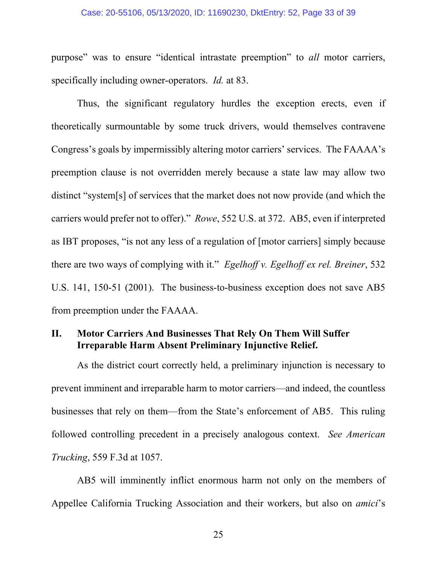#### Case: 20-55106, 05/13/2020, ID: 11690230, DktEntry: 52, Page 33 of 39

purpose" was to ensure "identical intrastate preemption" to *all* motor carriers, specifically including owner-operators. *Id.* at 83.

Thus, the significant regulatory hurdles the exception erects, even if theoretically surmountable by some truck drivers, would themselves contravene Congress's goals by impermissibly altering motor carriers' services. The FAAAA's preemption clause is not overridden merely because a state law may allow two distinct "system[s] of services that the market does not now provide (and which the carriers would prefer not to offer)." *Rowe*, 552 U.S. at 372. AB5, even if interpreted as IBT proposes, "is not any less of a regulation of [motor carriers] simply because there are two ways of complying with it." *Egelhoff v. Egelhoff ex rel. Breiner*, 532 U.S. 141, 150-51 (2001). The business-to-business exception does not save AB5 from preemption under the FAAAA.

### **II. Motor Carriers And Businesses That Rely On Them Will Suffer Irreparable Harm Absent Preliminary Injunctive Relief.**

As the district court correctly held, a preliminary injunction is necessary to prevent imminent and irreparable harm to motor carriers—and indeed, the countless businesses that rely on them—from the State's enforcement of AB5. This ruling followed controlling precedent in a precisely analogous context. *See American Trucking*, 559 F.3d at 1057.

AB5 will imminently inflict enormous harm not only on the members of Appellee California Trucking Association and their workers, but also on *amici*'s

25 and 25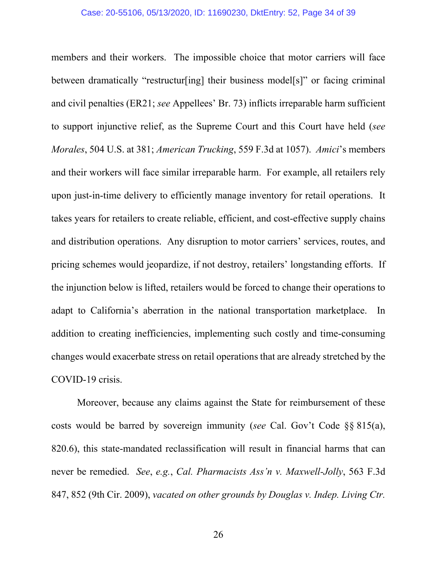members and their workers. The impossible choice that motor carriers will face between dramatically "restructur[ing] their business model[s]" or facing criminal and civil penalties (ER21; *see* Appellees' Br. 73) inflicts irreparable harm sufficient to support injunctive relief, as the Supreme Court and this Court have held (*see Morales*, 504 U.S. at 381; *American Trucking*, 559 F.3d at 1057). *Amici*'s members and their workers will face similar irreparable harm. For example, all retailers rely upon just-in-time delivery to efficiently manage inventory for retail operations. It takes years for retailers to create reliable, efficient, and cost-effective supply chains and distribution operations. Any disruption to motor carriers' services, routes, and pricing schemes would jeopardize, if not destroy, retailers' longstanding efforts. If the injunction below is lifted, retailers would be forced to change their operations to adapt to California's aberration in the national transportation marketplace. In addition to creating inefficiencies, implementing such costly and time-consuming changes would exacerbate stress on retail operations that are already stretched by the COVID-19 crisis.

Moreover, because any claims against the State for reimbursement of these costs would be barred by sovereign immunity (*see* Cal. Gov't Code §§ 815(a), 820.6), this state-mandated reclassification will result in financial harms that can never be remedied. *See*, *e.g.*, *Cal. Pharmacists Ass'n v. Maxwell-Jolly*, 563 F.3d 847, 852 (9th Cir. 2009), *vacated on other grounds by Douglas v. Indep. Living Ctr.*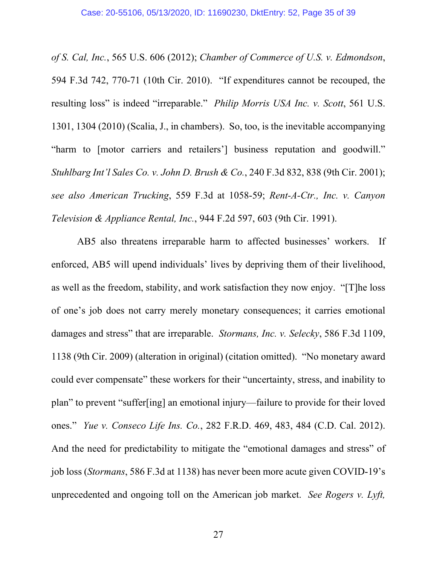*of S. Cal, Inc.*, 565 U.S. 606 (2012); *Chamber of Commerce of U.S. v. Edmondson*, 594 F.3d 742, 770-71 (10th Cir. 2010). "If expenditures cannot be recouped, the resulting loss" is indeed "irreparable." *Philip Morris USA Inc. v. Scott*, 561 U.S. 1301, 1304 (2010) (Scalia, J., in chambers). So, too, is the inevitable accompanying "harm to [motor carriers and retailers'] business reputation and goodwill." *Stuhlbarg Int'l Sales Co. v. John D. Brush & Co.*, 240 F.3d 832, 838 (9th Cir. 2001); *see also American Trucking*, 559 F.3d at 1058-59; *Rent-A-Ctr., Inc. v. Canyon Television & Appliance Rental, Inc.*, 944 F.2d 597, 603 (9th Cir. 1991).

AB5 also threatens irreparable harm to affected businesses' workers. If enforced, AB5 will upend individuals' lives by depriving them of their livelihood, as well as the freedom, stability, and work satisfaction they now enjoy. "[T]he loss of one's job does not carry merely monetary consequences; it carries emotional damages and stress" that are irreparable. *Stormans, Inc. v. Selecky*, 586 F.3d 1109, 1138 (9th Cir. 2009) (alteration in original) (citation omitted). "No monetary award could ever compensate" these workers for their "uncertainty, stress, and inability to plan" to prevent "suffer[ing] an emotional injury—failure to provide for their loved ones." *Yue v. Conseco Life Ins. Co.*, 282 F.R.D. 469, 483, 484 (C.D. Cal. 2012). And the need for predictability to mitigate the "emotional damages and stress" of job loss (*Stormans*, 586 F.3d at 1138) has never been more acute given COVID-19's unprecedented and ongoing toll on the American job market. *See Rogers v. Lyft,*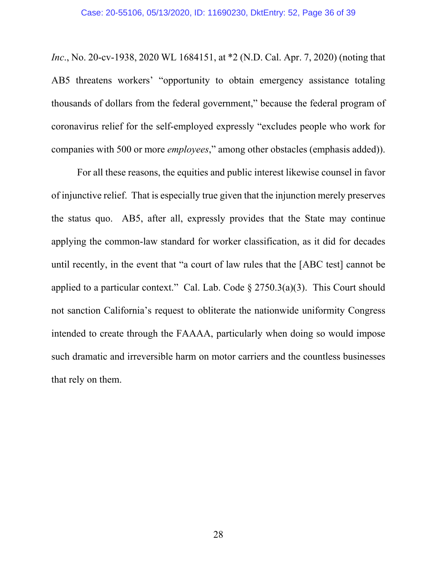*Inc*., No. 20-cv-1938, 2020 WL 1684151, at \*2 (N.D. Cal. Apr. 7, 2020) (noting that AB5 threatens workers' "opportunity to obtain emergency assistance totaling thousands of dollars from the federal government," because the federal program of coronavirus relief for the self-employed expressly "excludes people who work for companies with 500 or more *employees*," among other obstacles (emphasis added)).

For all these reasons, the equities and public interest likewise counsel in favor of injunctive relief. That is especially true given that the injunction merely preserves the status quo. AB5, after all, expressly provides that the State may continue applying the common-law standard for worker classification, as it did for decades until recently, in the event that "a court of law rules that the [ABC test] cannot be applied to a particular context." Cal. Lab. Code  $\S 2750.3(a)(3)$ . This Court should not sanction California's request to obliterate the nationwide uniformity Congress intended to create through the FAAAA, particularly when doing so would impose such dramatic and irreversible harm on motor carriers and the countless businesses that rely on them.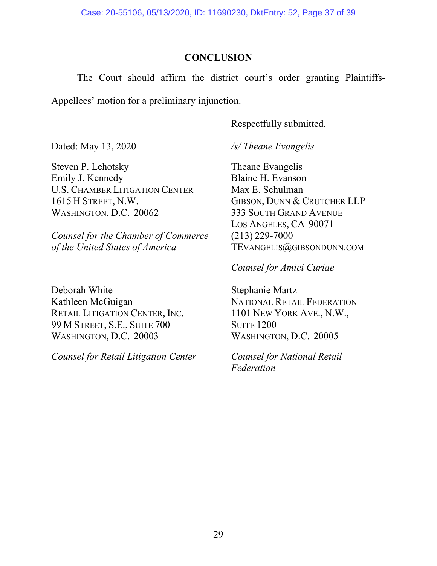### **CONCLUSION**

The Court should affirm the district court's order granting Plaintiffs-Appellees' motion for a preliminary injunction.

Respectfully submitted.

Steven P. Lehotsky Theane Evangelis Emily J. Kennedy Blaine H. Evanson U.S. CHAMBER LITIGATION CENTER Max E. Schulman 1615 H STREET, N.W. GIBSON, DUNN & CRUTCHER LLP WASHINGTON, D.C. 20062 333 SOUTH GRAND AVENUE

*Counsel for the Chamber of Commerce* (213) 229-7000 *of the United States of America* TEVANGELIS@GIBSONDUNN.COM

Deborah White Stephanie Martz Kathleen McGuigan NATIONAL RETAIL FEDERATION RETAIL LITIGATION CENTER, INC. 1101 NEW YORK AVE., N.W.,<br>99 M STREET, S.E., SUITE 700 SUITE 1200 99 M STREET, S.E., SUITE 700 WASHINGTON, D.C. 20003 WASHINGTON, D.C. 20005

*Counsel for Retail Litigation Center Counsel for National Retail* 

Dated: May 13, 2020 */s/ Theane Evangelis* 

LOS ANGELES, CA 90071

*Counsel for Amici Curiae*

*Federation*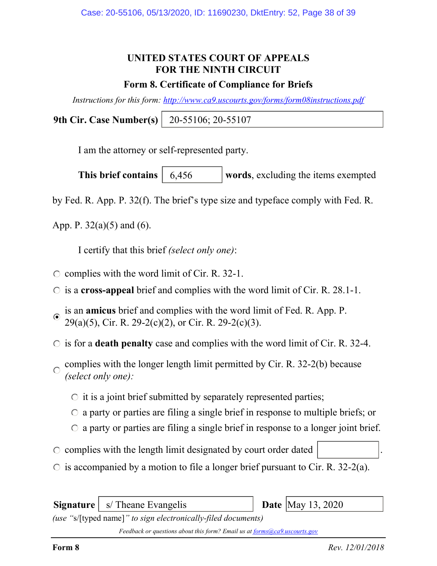# UNITED STATES COURT OF APPEALS FOR THE NINTH CIRCUIT

### Form 8. Certificate of Compliance for Briefs

Instructions for this form: http://www.ca9.uscourts.gov/forms/form08instructions.pdf

9th Cir. Case Number(s) 20-55106; 20-55107

I am the attorney or self-represented party.

This brief contains  $\begin{bmatrix} 6,456 \\ 6,456 \end{bmatrix}$  words, excluding the items exempted 6,456

by Fed. R. App. P. 32(f). The brief's type size and typeface comply with Fed. R.

App. P.  $32(a)(5)$  and  $(6)$ .

I certify that this brief (select only one):

- $\circ$  complies with the word limit of Cir. R. 32-1.
- $\circ$  is a cross-appeal brief and complies with the word limit of Cir. R. 28.1-1.
- is an amicus brief and complies with the word limit of Fed. R. App. P.  $\odot$ 29(a)(5), Cir. R. 29-2(c)(2), or Cir. R. 29-2(c)(3).
- $\circ$  is for a **death penalty** case and complies with the word limit of Cir. R. 32-4.
- complies with the longer length limit permitted by Cir. R. 32-2(b) because  $\bigcap$ (select only one):
	- $\circ$  it is a joint brief submitted by separately represented parties;
	- $\circ$  a party or parties are filing a single brief in response to multiple briefs; or
	- $\circ$  a party or parties are filing a single brief in response to a longer joint brief.
- $\circ$  complies with the length limit designated by court order dated
- $\circ$  is accompanied by a motion to file a longer brief pursuant to Cir. R. 32-2(a).

**Signature**  $\vert$  s/ Theane Evangelis

**Date** May 13, 2020

(use "s/[typed name]" to sign electronically-filed documents)

Feedback or questions about this form? Email us at forms@ca9.uscourts.gov